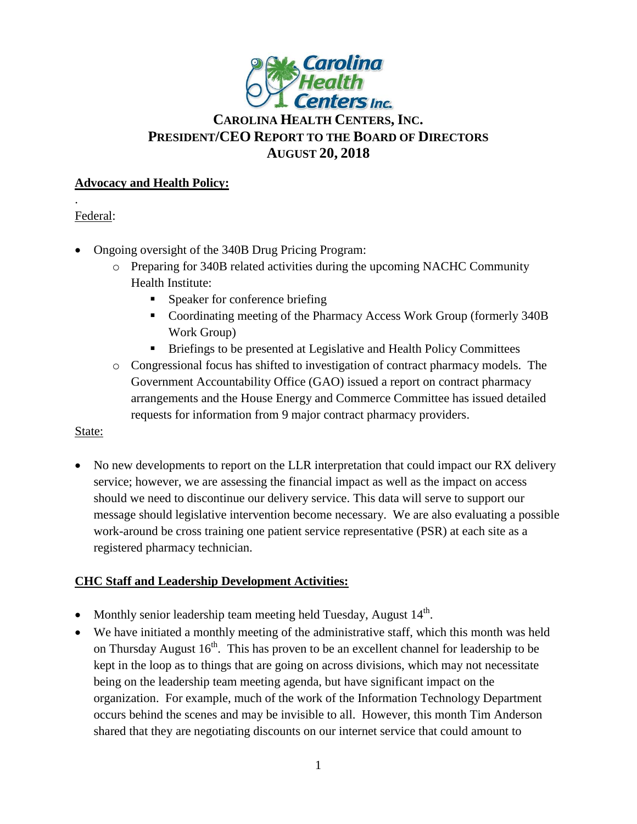

# **CAROLINA HEALTH CENTERS,INC. PRESIDENT/CEO REPORT TO THE BOARD OF DIRECTORS AUGUST 20, 2018**

### **Advocacy and Health Policy:**

Federal:

.

- Ongoing oversight of the 340B Drug Pricing Program:
	- o Preparing for 340B related activities during the upcoming NACHC Community Health Institute:
		- **Speaker for conference briefing**
		- Coordinating meeting of the Pharmacy Access Work Group (formerly 340B Work Group)
		- **Briefings to be presented at Legislative and Health Policy Committees**
	- o Congressional focus has shifted to investigation of contract pharmacy models. The Government Accountability Office (GAO) issued a report on contract pharmacy arrangements and the House Energy and Commerce Committee has issued detailed requests for information from 9 major contract pharmacy providers.

State:

• No new developments to report on the LLR interpretation that could impact our RX delivery service; however, we are assessing the financial impact as well as the impact on access should we need to discontinue our delivery service. This data will serve to support our message should legislative intervention become necessary. We are also evaluating a possible work-around be cross training one patient service representative (PSR) at each site as a registered pharmacy technician.

## **CHC Staff and Leadership Development Activities:**

- Monthly senior leadership team meeting held Tuesday, August  $14<sup>th</sup>$ .
- We have initiated a monthly meeting of the administrative staff, which this month was held on Thursday August  $16<sup>th</sup>$ . This has proven to be an excellent channel for leadership to be kept in the loop as to things that are going on across divisions, which may not necessitate being on the leadership team meeting agenda, but have significant impact on the organization. For example, much of the work of the Information Technology Department occurs behind the scenes and may be invisible to all. However, this month Tim Anderson shared that they are negotiating discounts on our internet service that could amount to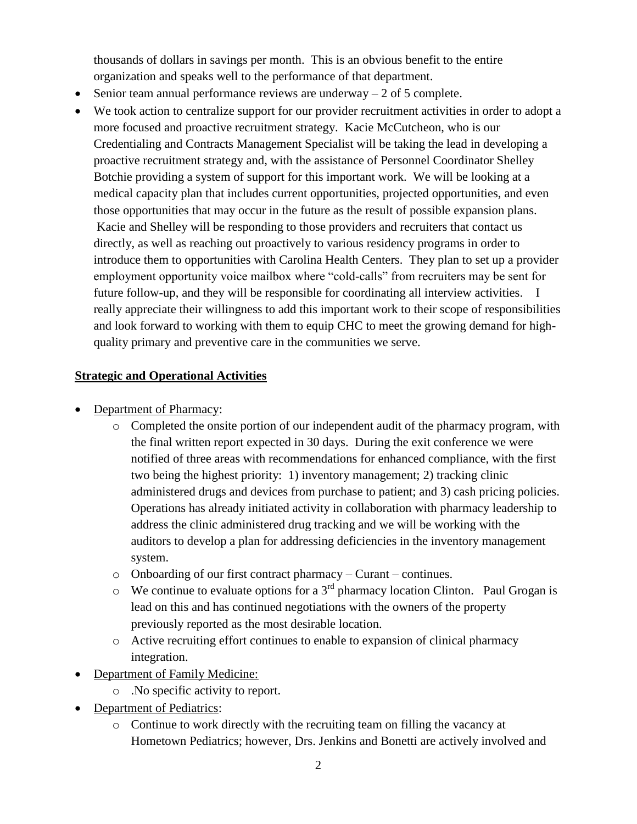thousands of dollars in savings per month. This is an obvious benefit to the entire organization and speaks well to the performance of that department.

- Senior team annual performance reviews are underway  $-2$  of 5 complete.
- We took action to centralize support for our provider recruitment activities in order to adopt a more focused and proactive recruitment strategy. Kacie McCutcheon, who is our Credentialing and Contracts Management Specialist will be taking the lead in developing a proactive recruitment strategy and, with the assistance of Personnel Coordinator Shelley Botchie providing a system of support for this important work. We will be looking at a medical capacity plan that includes current opportunities, projected opportunities, and even those opportunities that may occur in the future as the result of possible expansion plans. Kacie and Shelley will be responding to those providers and recruiters that contact us directly, as well as reaching out proactively to various residency programs in order to introduce them to opportunities with Carolina Health Centers. They plan to set up a provider employment opportunity voice mailbox where "cold-calls" from recruiters may be sent for future follow-up, and they will be responsible for coordinating all interview activities. I really appreciate their willingness to add this important work to their scope of responsibilities and look forward to working with them to equip CHC to meet the growing demand for highquality primary and preventive care in the communities we serve.

### **Strategic and Operational Activities**

- Department of Pharmacy:
	- o Completed the onsite portion of our independent audit of the pharmacy program, with the final written report expected in 30 days. During the exit conference we were notified of three areas with recommendations for enhanced compliance, with the first two being the highest priority: 1) inventory management; 2) tracking clinic administered drugs and devices from purchase to patient; and 3) cash pricing policies. Operations has already initiated activity in collaboration with pharmacy leadership to address the clinic administered drug tracking and we will be working with the auditors to develop a plan for addressing deficiencies in the inventory management system.
	- o Onboarding of our first contract pharmacy Curant continues.
	- $\circ$  We continue to evaluate options for a 3<sup>rd</sup> pharmacy location Clinton. Paul Grogan is lead on this and has continued negotiations with the owners of the property previously reported as the most desirable location.
	- o Active recruiting effort continues to enable to expansion of clinical pharmacy integration.
- Department of Family Medicine:
	- o .No specific activity to report.
- Department of Pediatrics:
	- $\circ$  Continue to work directly with the recruiting team on filling the vacancy at Hometown Pediatrics; however, Drs. Jenkins and Bonetti are actively involved and